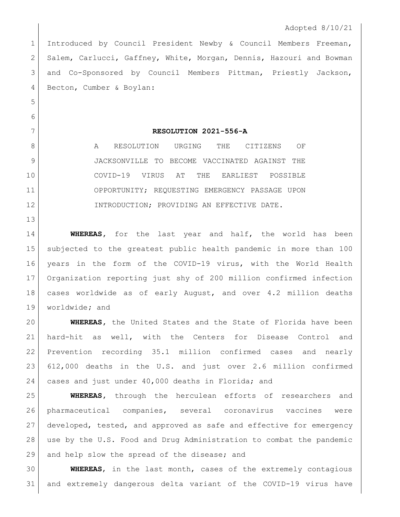1 Introduced by Council President Newby & Council Members Freeman, Salem, Carlucci, Gaffney, White, Morgan, Dennis, Hazouri and Bowman and Co-Sponsored by Council Members Pittman, Priestly Jackson, Becton, Cumber & Boylan:

## **RESOLUTION 2021-556-A**

8 A RESOLUTION URGING THE CITIZENS OF JACKSONVILLE TO BECOME VACCINATED AGAINST THE COVID-19 VIRUS AT THE EARLIEST POSSIBLE OPPORTUNITY; REQUESTING EMERGENCY PASSAGE UPON 12 INTRODUCTION; PROVIDING AN EFFECTIVE DATE.

 **WHEREAS,** for the last year and half, the world has been subjected to the greatest public health pandemic in more than 100 years in the form of the COVID-19 virus, with the World Health Organization reporting just shy of 200 million confirmed infection cases worldwide as of early August, and over 4.2 million deaths worldwide**;** and

 **WHEREAS,** the United States and the State of Florida have been hard-hit as well, with the Centers for Disease Control and Prevention recording 35.1 million confirmed cases and nearly 612,000 deaths in the U.S. and just over 2.6 million confirmed cases and just under 40,000 deaths in Florida; and

 **WHEREAS,** through the herculean efforts of researchers and pharmaceutical companies, several coronavirus vaccines were developed, tested, and approved as safe and effective for emergency use by the U.S. Food and Drug Administration to combat the pandemic 29 and help slow the spread of the disease; and

 **WHEREAS**, in the last month, cases of the extremely contagious and extremely dangerous delta variant of the COVID-19 virus have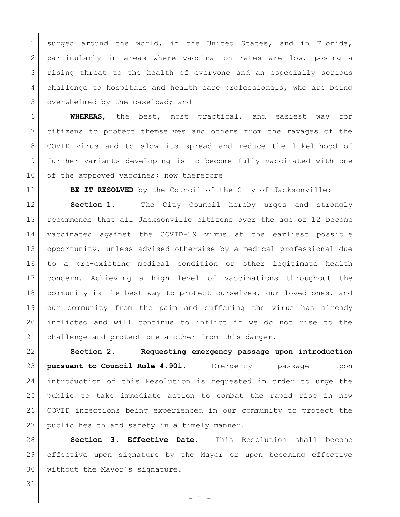1 surged around the world, in the United States, and in Florida, 2 particularly in areas where vaccination rates are low, posing a 3 | rising threat to the health of everyone and an especially serious challenge to hospitals and health care professionals, who are being 5 overwhelmed by the caseload; and

 **WHEREAS**, the best, most practical, and easiest way for citizens to protect themselves and others from the ravages of the COVID virus and to slow its spread and reduce the likelihood of further variants developing is to become fully vaccinated with one 10 of the approved vaccines; now therefore

**BE IT RESOLVED** by the Council of the City of Jacksonville:

 **Section 1.** The City Council hereby urges and strongly recommends that all Jacksonville citizens over the age of 12 become vaccinated against the COVID-19 virus at the earliest possible opportunity, unless advised otherwise by a medical professional due to a pre-existing medical condition or other legitimate health concern. Achieving a high level of vaccinations throughout the 18 community is the best way to protect ourselves, our loved ones, and our community from the pain and suffering the virus has already inflicted and will continue to inflict if we do not rise to the challenge and protect one another from this danger.

 **Section 2. Requesting emergency passage upon introduction pursuant to Council Rule 4.901.** Emergency passage upon introduction of this Resolution is requested in order to urge the public to take immediate action to combat the rapid rise in new COVID infections being experienced in our community to protect the 27 public health and safety in a timely manner.

 **Section 3. Effective Date.** This Resolution shall become effective upon signature by the Mayor or upon becoming effective without the Mayor's signature.